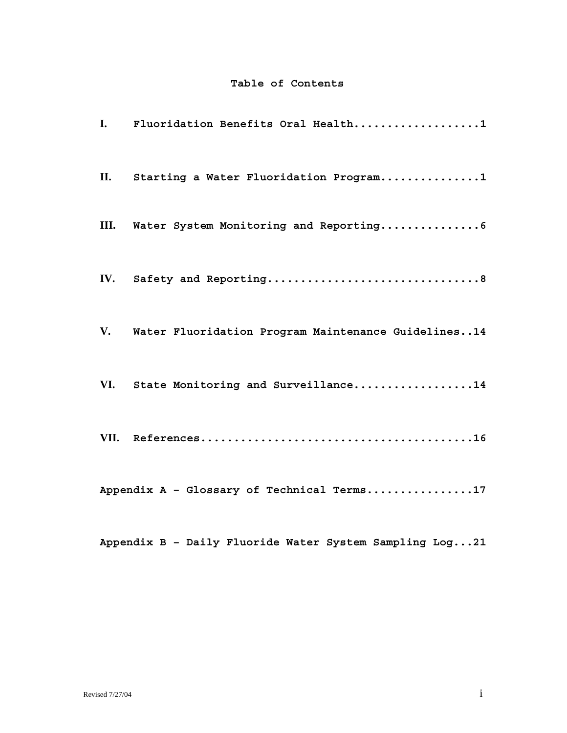# **Table of Contents**

| L.   | Fluoridation Benefits Oral Health1                  |
|------|-----------------------------------------------------|
| II.  | Starting a Water Fluoridation Program1              |
| III. |                                                     |
| IV.  |                                                     |
| V.   | Water Fluoridation Program Maintenance Guidelines14 |
| VI.  | State Monitoring and Surveillance14                 |
| VII. |                                                     |
|      | Appendix A - Glossary of Technical Terms17          |

 **Appendix B – Daily Fluoride Water System Sampling Log...21**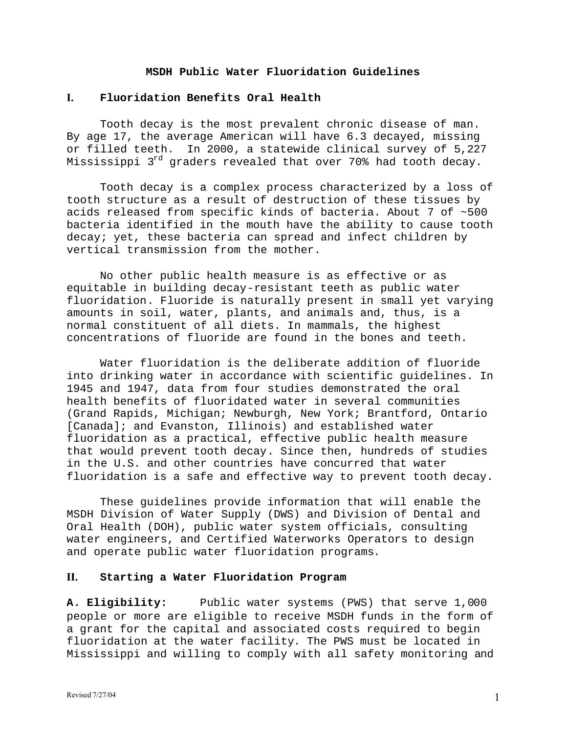## **MSDH Public Water Fluoridation Guidelines**

## **I. Fluoridation Benefits Oral Health**

Tooth decay is the most prevalent chronic disease of man. By age 17, the average American will have 6.3 decayed, missing or filled teeth. In 2000, a statewide clinical survey of 5,227 Mississippi 3<sup>rd</sup> graders revealed that over 70% had tooth decay.

Tooth decay is a complex process characterized by a loss of tooth structure as a result of destruction of these tissues by acids released from specific kinds of bacteria. About 7 of ~500 bacteria identified in the mouth have the ability to cause tooth decay; yet, these bacteria can spread and infect children by vertical transmission from the mother.

No other public health measure is as effective or as equitable in building decay-resistant teeth as public water fluoridation. Fluoride is naturally present in small yet varying amounts in soil, water, plants, and animals and, thus, is a normal constituent of all diets. In mammals, the highest concentrations of fluoride are found in the bones and teeth.

Water fluoridation is the deliberate addition of fluoride into drinking water in accordance with scientific guidelines. In 1945 and 1947, data from four studies demonstrated the oral health benefits of fluoridated water in several communities (Grand Rapids, Michigan; Newburgh, New York; Brantford, Ontario [Canada]; and Evanston, Illinois) and established water fluoridation as a practical, effective public health measure that would prevent tooth decay. Since then, hundreds of studies in the U.S. and other countries have concurred that water fluoridation is a safe and effective way to prevent tooth decay.

These guidelines provide information that will enable the MSDH Division of Water Supply (DWS) and Division of Dental and Oral Health (DOH), public water system officials, consulting water engineers, and Certified Waterworks Operators to design and operate public water fluoridation programs.

#### **II. Starting a Water Fluoridation Program**

**A. Eligibility:** Public water systems (PWS) that serve 1,000 people or more are eligible to receive MSDH funds in the form of a grant for the capital and associated costs required to begin fluoridation at the water facility. The PWS must be located in Mississippi and willing to comply with all safety monitoring and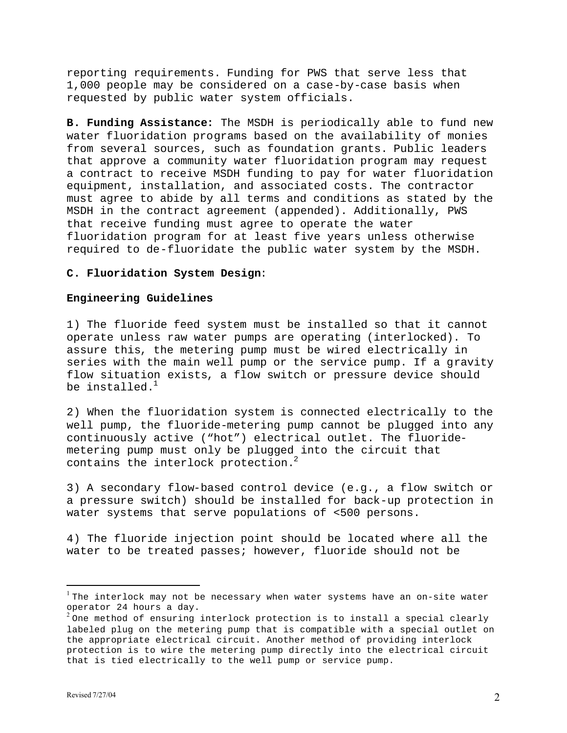reporting requirements. Funding for PWS that serve less that 1,000 people may be considered on a case-by-case basis when requested by public water system officials.

**B. Funding Assistance:** The MSDH is periodically able to fund new water fluoridation programs based on the availability of monies from several sources, such as foundation grants. Public leaders that approve a community water fluoridation program may request a contract to receive MSDH funding to pay for water fluoridation equipment, installation, and associated costs. The contractor must agree to abide by all terms and conditions as stated by the MSDH in the contract agreement (appended). Additionally, PWS that receive funding must agree to operate the water fluoridation program for at least five years unless otherwise required to de-fluoridate the public water system by the MSDH.

#### **C. Fluoridation System Design**:

#### **Engineering Guidelines**

1) The fluoride feed system must be installed so that it cannot operate unless raw water pumps are operating (interlocked). To assure this, the metering pump must be wired electrically in series with the main well pump or the service pump. If a gravity flow situation exists, a flow switch or pressure device should be installed. $<sup>1</sup>$ </sup>

2) When the fluoridation system is connected electrically to the well pump, the fluoride-metering pump cannot be plugged into any continuously active ("hot") electrical outlet. The fluoridemetering pump must only be plugged into the circuit that contains the interlock protection.<sup>2</sup>

3) A secondary flow-based control device (e.g., a flow switch or a pressure switch) should be installed for back-up protection in water systems that serve populations of <500 persons.

4) The fluoride injection point should be located where all the water to be treated passes; however, fluoride should not be

 $^{\rm l}$  The interlock may not be necessary when water systems have an on-site water operator 24 hours a day.

 $^2$ One method of ensuring interlock protection is to install a special clearly labeled plug on the metering pump that is compatible with a special outlet on the appropriate electrical circuit. Another method of providing interlock protection is to wire the metering pump directly into the electrical circuit that is tied electrically to the well pump or service pump.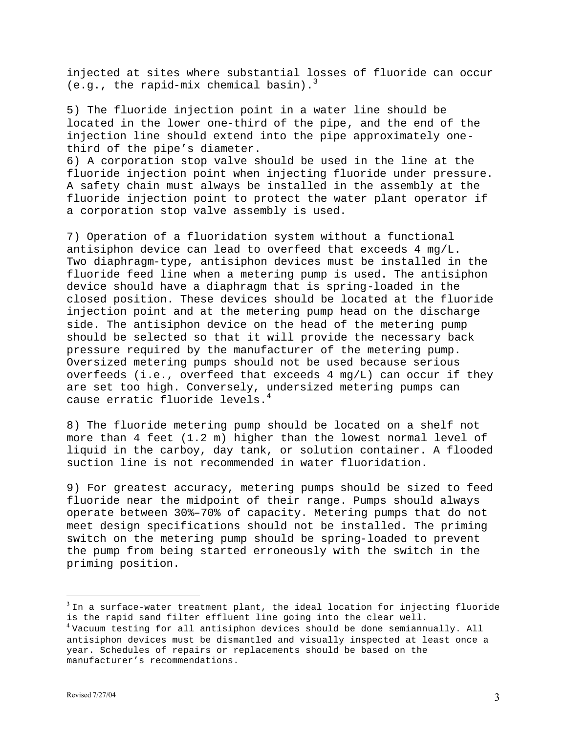injected at sites where substantial losses of fluoride can occur  $(e.g., the rapid-mix chemical basin).<sup>3</sup>$ 

5) The fluoride injection point in a water line should be located in the lower one-third of the pipe, and the end of the injection line should extend into the pipe approximately onethird of the pipe's diameter.

6) A corporation stop valve should be used in the line at the fluoride injection point when injecting fluoride under pressure. A safety chain must always be installed in the assembly at the fluoride injection point to protect the water plant operator if a corporation stop valve assembly is used.

7) Operation of a fluoridation system without a functional antisiphon device can lead to overfeed that exceeds 4 mg/L. Two diaphragm-type, antisiphon devices must be installed in the fluoride feed line when a metering pump is used. The antisiphon device should have a diaphragm that is spring-loaded in the closed position. These devices should be located at the fluoride injection point and at the metering pump head on the discharge side. The antisiphon device on the head of the metering pump should be selected so that it will provide the necessary back pressure required by the manufacturer of the metering pump. Oversized metering pumps should not be used because serious overfeeds (i.e., overfeed that exceeds 4 mg/L) can occur if they are set too high. Conversely, undersized metering pumps can cause erratic fluoride levels.<sup>4</sup>

8) The fluoride metering pump should be located on a shelf not more than 4 feet (1.2 m) higher than the lowest normal level of liquid in the carboy, day tank, or solution container. A flooded suction line is not recommended in water fluoridation.

9) For greatest accuracy, metering pumps should be sized to feed fluoride near the midpoint of their range. Pumps should always operate between 30%–70% of capacity. Metering pumps that do not meet design specifications should not be installed. The priming switch on the metering pump should be spring-loaded to prevent the pump from being started erroneously with the switch in the priming position.

 $^3$  In a surface-water treatment plant, the ideal location for injecting fluoride is the rapid sand filter effluent line going into the clear well.

 $^4$ Vacuum testing for all antisiphon devices should be done semiannually. All antisiphon devices must be dismantled and visually inspected at least once a year. Schedules of repairs or replacements should be based on the manufacturer's recommendations.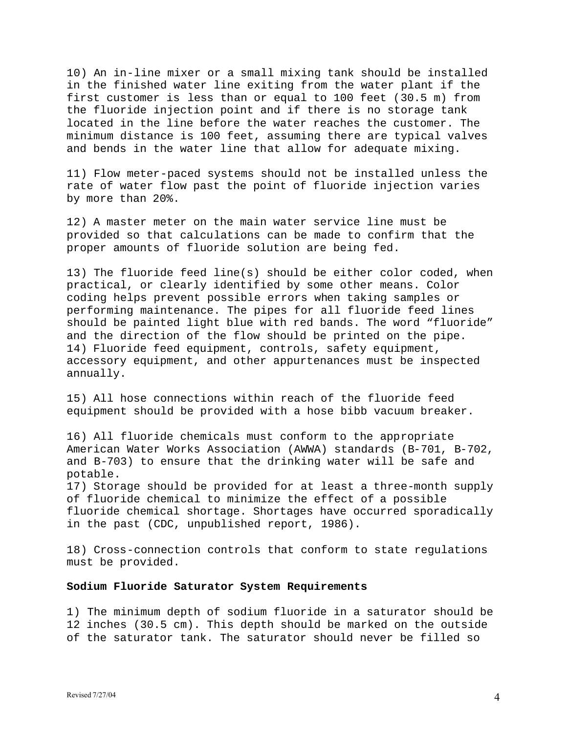10) An in-line mixer or a small mixing tank should be installed in the finished water line exiting from the water plant if the first customer is less than or equal to 100 feet (30.5 m) from the fluoride injection point and if there is no storage tank located in the line before the water reaches the customer. The minimum distance is 100 feet, assuming there are typical valves and bends in the water line that allow for adequate mixing.

11) Flow meter-paced systems should not be installed unless the rate of water flow past the point of fluoride injection varies by more than 20%.

12) A master meter on the main water service line must be provided so that calculations can be made to confirm that the proper amounts of fluoride solution are being fed.

13) The fluoride feed line(s) should be either color coded, when practical, or clearly identified by some other means. Color coding helps prevent possible errors when taking samples or performing maintenance. The pipes for all fluoride feed lines should be painted light blue with red bands. The word "fluoride" and the direction of the flow should be printed on the pipe. 14) Fluoride feed equipment, controls, safety equipment, accessory equipment, and other appurtenances must be inspected annually.

15) All hose connections within reach of the fluoride feed equipment should be provided with a hose bibb vacuum breaker.

16) All fluoride chemicals must conform to the appropriate American Water Works Association (AWWA) standards (B-701, B-702, and B-703) to ensure that the drinking water will be safe and potable.

17) Storage should be provided for at least a three-month supply of fluoride chemical to minimize the effect of a possible fluoride chemical shortage. Shortages have occurred sporadically in the past (CDC, unpublished report, 1986).

18) Cross-connection controls that conform to state regulations must be provided.

#### **Sodium Fluoride Saturator System Requirements**

1) The minimum depth of sodium fluoride in a saturator should be 12 inches (30.5 cm). This depth should be marked on the outside of the saturator tank. The saturator should never be filled so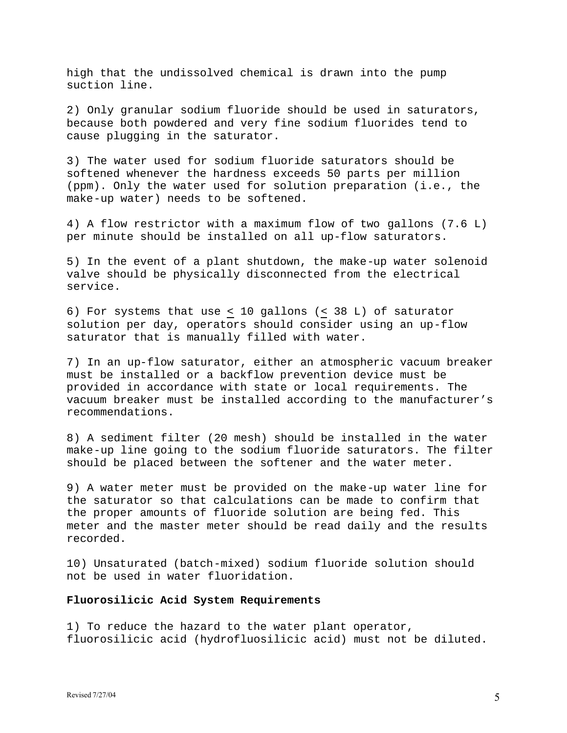high that the undissolved chemical is drawn into the pump suction line.

2) Only granular sodium fluoride should be used in saturators, because both powdered and very fine sodium fluorides tend to cause plugging in the saturator.

3) The water used for sodium fluoride saturators should be softened whenever the hardness exceeds 50 parts per million (ppm). Only the water used for solution preparation (i.e., the make-up water) needs to be softened.

4) A flow restrictor with a maximum flow of two gallons (7.6 L) per minute should be installed on all up-flow saturators.

5) In the event of a plant shutdown, the make-up water solenoid valve should be physically disconnected from the electrical service.

6) For systems that use < 10 gallons (< 38 L) of saturator solution per day, operators should consider using an up-flow saturator that is manually filled with water.

7) In an up-flow saturator, either an atmospheric vacuum breaker must be installed or a backflow prevention device must be provided in accordance with state or local requirements. The vacuum breaker must be installed according to the manufacturer's recommendations.

8) A sediment filter (20 mesh) should be installed in the water make-up line going to the sodium fluoride saturators. The filter should be placed between the softener and the water meter.

9) A water meter must be provided on the make-up water line for the saturator so that calculations can be made to confirm that the proper amounts of fluoride solution are being fed. This meter and the master meter should be read daily and the results recorded.

10) Unsaturated (batch-mixed) sodium fluoride solution should not be used in water fluoridation.

## **Fluorosilicic Acid System Requirements**

1) To reduce the hazard to the water plant operator, fluorosilicic acid (hydrofluosilicic acid) must not be diluted.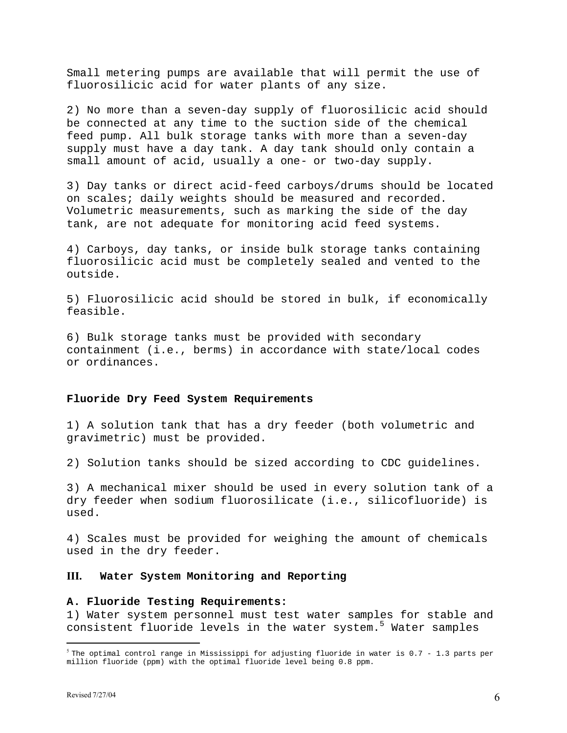Small metering pumps are available that will permit the use of fluorosilicic acid for water plants of any size.

2) No more than a seven-day supply of fluorosilicic acid should be connected at any time to the suction side of the chemical feed pump. All bulk storage tanks with more than a seven-day supply must have a day tank. A day tank should only contain a small amount of acid, usually a one- or two-day supply.

3) Day tanks or direct acid-feed carboys/drums should be located on scales; daily weights should be measured and recorded. Volumetric measurements, such as marking the side of the day tank, are not adequate for monitoring acid feed systems.

4) Carboys, day tanks, or inside bulk storage tanks containing fluorosilicic acid must be completely sealed and vented to the outside.

5) Fluorosilicic acid should be stored in bulk, if economically feasible.

6) Bulk storage tanks must be provided with secondary containment (i.e., berms) in accordance with state/local codes or ordinances.

#### **Fluoride Dry Feed System Requirements**

1) A solution tank that has a dry feeder (both volumetric and gravimetric) must be provided.

2) Solution tanks should be sized according to CDC guidelines.

3) A mechanical mixer should be used in every solution tank of a dry feeder when sodium fluorosilicate (i.e., silicofluoride) is used.

4) Scales must be provided for weighing the amount of chemicals used in the dry feeder.

## **III. Water System Monitoring and Reporting**

#### **A. Fluoride Testing Requirements:**

1) Water system personnel must test water samples for stable and consistent fluoride levels in the water system.<sup>5</sup> Water samples

 $^5$  The optimal control range in Mississippi for adjusting fluoride in water is 0.7 - 1.3 parts per million fluoride (ppm) with the optimal fluoride level being 0.8 ppm.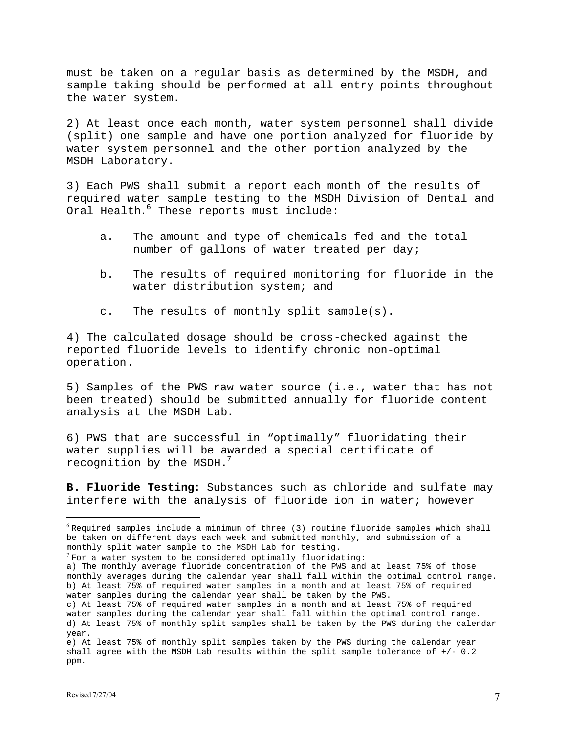must be taken on a regular basis as determined by the MSDH, and sample taking should be performed at all entry points throughout the water system.

2) At least once each month, water system personnel shall divide (split) one sample and have one portion analyzed for fluoride by water system personnel and the other portion analyzed by the MSDH Laboratory.

3) Each PWS shall submit a report each month of the results of required water sample testing to the MSDH Division of Dental and Oral Health.<sup>6</sup> These reports must include:

- a. The amount and type of chemicals fed and the total number of gallons of water treated per day;
- b. The results of required monitoring for fluoride in the water distribution system; and
- c. The results of monthly split sample(s).

4) The calculated dosage should be cross-checked against the reported fluoride levels to identify chronic non-optimal operation.

5) Samples of the PWS raw water source (i.e., water that has not been treated) should be submitted annually for fluoride content analysis at the MSDH Lab.

6) PWS that are successful in "optimally" fluoridating their water supplies will be awarded a special certificate of recognition by the MSDH. $^7$ 

**B. Fluoride Testing:** Substances such as chloride and sulfate may interfere with the analysis of fluoride ion in water; however

a) The monthly average fluoride concentration of the PWS and at least 75% of those monthly averages during the calendar year shall fall within the optimal control range. b) At least 75% of required water samples in a month and at least 75% of required water samples during the calendar year shall be taken by the PWS.

c) At least 75% of required water samples in a month and at least 75% of required water samples during the calendar year shall fall within the optimal control range. d) At least 75% of monthly split samples shall be taken by the PWS during the calendar year.

 $6$  Required samples include a minimum of three (3) routine fluoride samples which shall be taken on different days each week and submitted monthly, and submission of a monthly split water sample to the MSDH Lab for testing.

 $7$  For a water system to be considered optimally fluoridating:

e) At least 75% of monthly split samples taken by the PWS during the calendar year shall agree with the MSDH Lab results within the split sample tolerance of  $+/- 0.2$ ppm.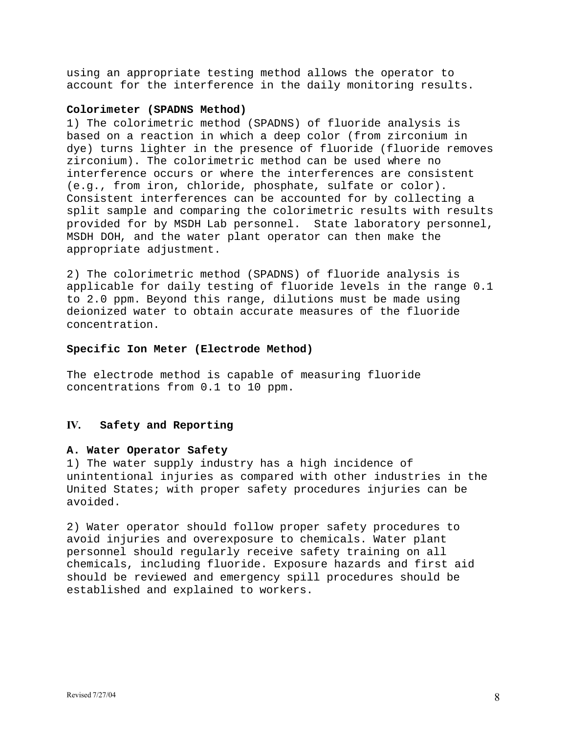using an appropriate testing method allows the operator to account for the interference in the daily monitoring results.

#### **Colorimeter (SPADNS Method)**

1) The colorimetric method (SPADNS) of fluoride analysis is based on a reaction in which a deep color (from zirconium in dye) turns lighter in the presence of fluoride (fluoride removes zirconium). The colorimetric method can be used where no interference occurs or where the interferences are consistent (e.g., from iron, chloride, phosphate, sulfate or color). Consistent interferences can be accounted for by collecting a split sample and comparing the colorimetric results with results provided for by MSDH Lab personnel. State laboratory personnel, MSDH DOH, and the water plant operator can then make the appropriate adjustment.

2) The colorimetric method (SPADNS) of fluoride analysis is applicable for daily testing of fluoride levels in the range 0.1 to 2.0 ppm. Beyond this range, dilutions must be made using deionized water to obtain accurate measures of the fluoride concentration.

#### **Specific Ion Meter (Electrode Method)**

The electrode method is capable of measuring fluoride concentrations from 0.1 to 10 ppm.

## **IV. Safety and Reporting**

#### **A. Water Operator Safety**

1) The water supply industry has a high incidence of unintentional injuries as compared with other industries in the United States; with proper safety procedures injuries can be avoided.

2) Water operator should follow proper safety procedures to avoid injuries and overexposure to chemicals. Water plant personnel should regularly receive safety training on all chemicals, including fluoride. Exposure hazards and first aid should be reviewed and emergency spill procedures should be established and explained to workers.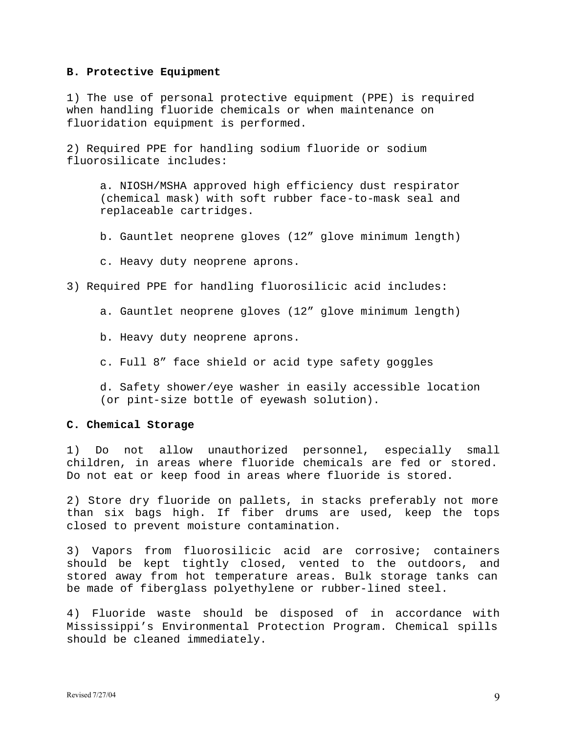#### **B. Protective Equipment**

1) The use of personal protective equipment (PPE) is required when handling fluoride chemicals or when maintenance on fluoridation equipment is performed.

2) Required PPE for handling sodium fluoride or sodium fluorosilicate includes:

a. NIOSH/MSHA approved high efficiency dust respirator (chemical mask) with soft rubber face-to-mask seal and replaceable cartridges.

b. Gauntlet neoprene gloves (12" glove minimum length)

c. Heavy duty neoprene aprons.

## 3) Required PPE for handling fluorosilicic acid includes:

a. Gauntlet neoprene gloves (12" glove minimum length)

b. Heavy duty neoprene aprons.

c. Full 8" face shield or acid type safety goggles

d. Safety shower/eye washer in easily accessible location (or pint-size bottle of eyewash solution).

#### **C. Chemical Storage**

1) Do not allow unauthorized personnel, especially small children, in areas where fluoride chemicals are fed or stored. Do not eat or keep food in areas where fluoride is stored.

2) Store dry fluoride on pallets, in stacks preferably not more than six bags high. If fiber drums are used, keep the tops closed to prevent moisture contamination.

3) Vapors from fluorosilicic acid are corrosive; containers should be kept tightly closed, vented to the outdoors, and stored away from hot temperature areas. Bulk storage tanks can be made of fiberglass polyethylene or rubber-lined steel.

4) Fluoride waste should be disposed of in accordance with Mississippi's Environmental Protection Program. Chemical spills should be cleaned immediately.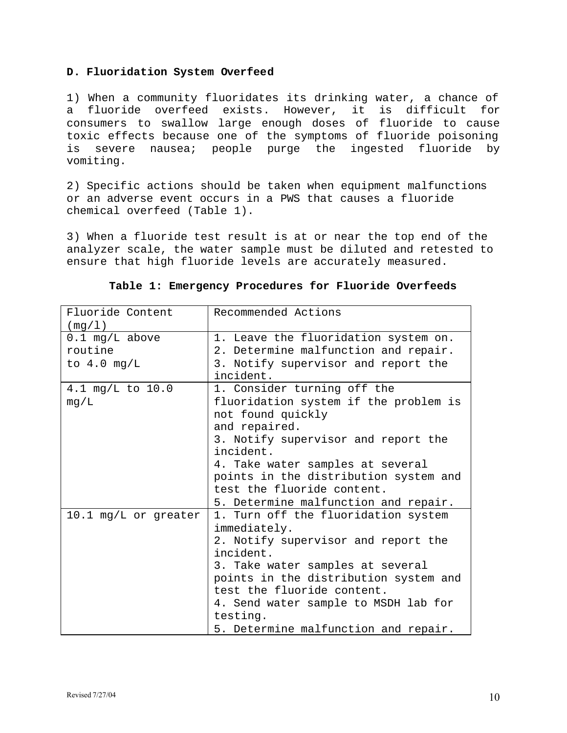## **D. Fluoridation System Overfeed**

1) When a community fluoridates its drinking water, a chance of a fluoride overfeed exists. However, it is difficult for consumers to swallow large enough doses of fluoride to cause toxic effects because one of the symptoms of fluoride poisoning is severe nausea; people purge the ingested fluoride by vomiting.

2) Specific actions should be taken when equipment malfunctions or an adverse event occurs in a PWS that causes a fluoride chemical overfeed (Table 1).

3) When a fluoride test result is at or near the top end of the analyzer scale, the water sample must be diluted and retested to ensure that high fluoride levels are accurately measured.

| Fluoride Content     | Recommended Actions                   |  |  |
|----------------------|---------------------------------------|--|--|
| (mg/L)               |                                       |  |  |
| $0.1$ mg/L above     | 1. Leave the fluoridation system on.  |  |  |
| routine              | 2. Determine malfunction and repair.  |  |  |
| to $4.0$ mg/L        | 3. Notify supervisor and report the   |  |  |
|                      | incident.                             |  |  |
| 4.1 mg/L to 10.0     | 1. Consider turning off the           |  |  |
| mg/L                 | fluoridation system if the problem is |  |  |
|                      | not found quickly                     |  |  |
|                      | and repaired.                         |  |  |
|                      | 3. Notify supervisor and report the   |  |  |
|                      | incident.                             |  |  |
|                      | 4. Take water samples at several      |  |  |
|                      | points in the distribution system and |  |  |
|                      | test the fluoride content.            |  |  |
|                      | 5. Determine malfunction and repair.  |  |  |
| 10.1 mg/L or greater | 1. Turn off the fluoridation system   |  |  |
|                      | immediately.                          |  |  |
|                      | 2. Notify supervisor and report the   |  |  |
|                      | incident.                             |  |  |
|                      | 3. Take water samples at several      |  |  |
|                      | points in the distribution system and |  |  |
|                      | test the fluoride content.            |  |  |
|                      | 4. Send water sample to MSDH lab for  |  |  |
|                      | testing.                              |  |  |
|                      | 5. Determine malfunction and repair.  |  |  |

## **Table 1: Emergency Procedures for Fluoride Overfeeds**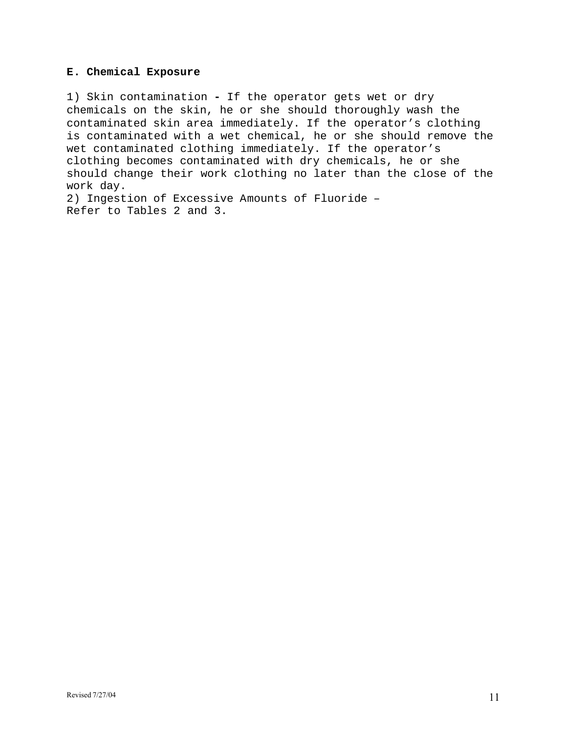## **E. Chemical Exposure**

1) Skin contamination **-** If the operator gets wet or dry chemicals on the skin, he or she should thoroughly wash the contaminated skin area immediately. If the operator's clothing is contaminated with a wet chemical, he or she should remove the wet contaminated clothing immediately. If the operator's clothing becomes contaminated with dry chemicals, he or she should change their work clothing no later than the close of the work day. 2) Ingestion of Excessive Amounts of Fluoride –

Refer to Tables 2 and 3.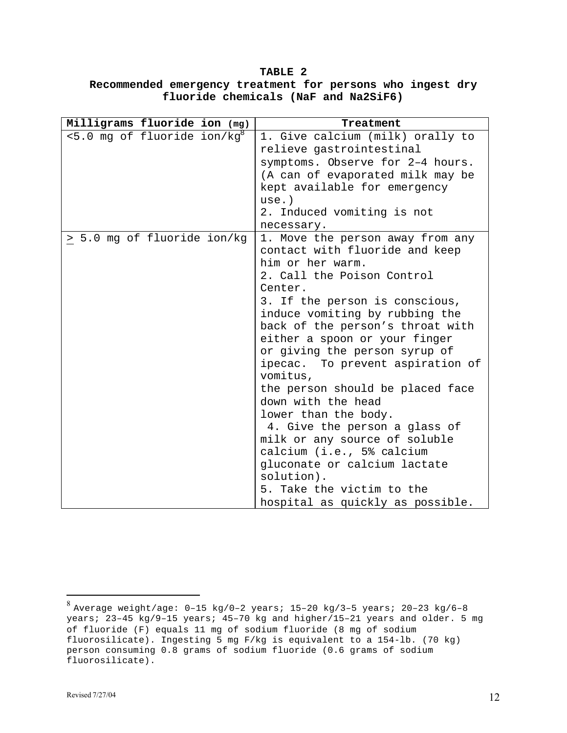## **TABLE 2 Recommended emergency treatment for persons who ingest dry fluoride chemicals (NaF and Na2SiF6)**

| Milligrams fluoride ion (mg)               | Treatment                        |
|--------------------------------------------|----------------------------------|
| $< 5.0$ mg of fluoride ion/kg <sup>8</sup> | 1. Give calcium (milk) orally to |
|                                            | relieve gastrointestinal         |
|                                            | symptoms. Observe for 2-4 hours. |
|                                            | (A can of evaporated milk may be |
|                                            | kept available for emergency     |
|                                            | use.)                            |
|                                            | 2. Induced vomiting is not       |
|                                            | necessary.                       |
| > 5.0 mg of fluoride ion/kg                | 1. Move the person away from any |
|                                            | contact with fluoride and keep   |
|                                            | him or her warm.                 |
|                                            | 2. Call the Poison Control       |
|                                            | Center.                          |
|                                            | 3. If the person is conscious,   |
|                                            | induce vomiting by rubbing the   |
|                                            | back of the person's throat with |
|                                            | either a spoon or your finger    |
|                                            | or giving the person syrup of    |
|                                            | ipecac. To prevent aspiration of |
|                                            | vomitus,                         |
|                                            | the person should be placed face |
|                                            | down with the head               |
|                                            | lower than the body.             |
|                                            | 4. Give the person a glass of    |
|                                            | milk or any source of soluble    |
|                                            | calcium (i.e., 5% calcium        |
|                                            | gluconate or calcium lactate     |
|                                            | solution).                       |
|                                            | 5. Take the victim to the        |
|                                            | hospital as quickly as possible. |

 $^8$  Average weight/age: 0-15 kg/0-2 years; 15-20 kg/3-5 years; 20-23 kg/6-8 years; 23–45 kg/9–15 years; 45–70 kg and higher/15–21 years and older. 5 mg of fluoride (F) equals 11 mg of sodium fluoride (8 mg of sodium fluorosilicate). Ingesting 5 mg F/kg is equivalent to a 154-lb. (70 kg) person consuming 0.8 grams of sodium fluoride (0.6 grams of sodium fluorosilicate).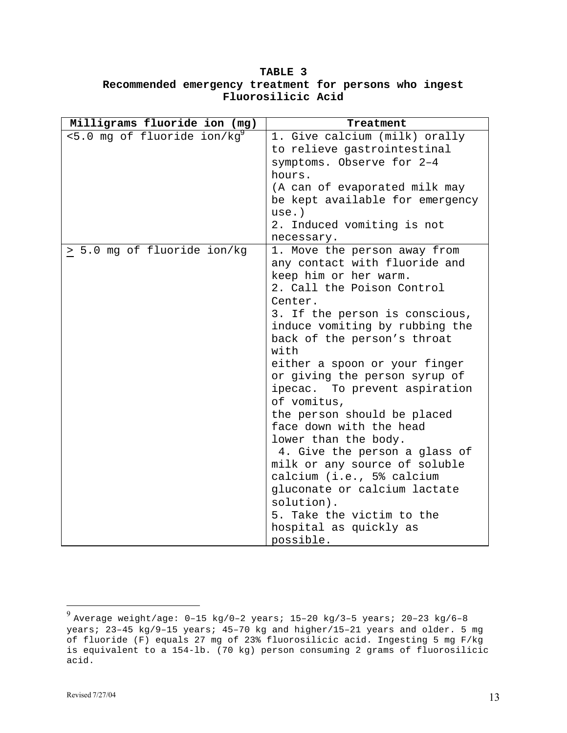# **TABLE 3 Recommended emergency treatment for persons who ingest Fluorosilicic Acid**

| Milligrams fluoride ion (mg)  | Treatment                                                      |  |  |
|-------------------------------|----------------------------------------------------------------|--|--|
| $<$ 5.0 mg of fluoride ion/kg | 1. Give calcium (milk) orally                                  |  |  |
|                               | to relieve gastrointestinal                                    |  |  |
|                               | symptoms. Observe for 2-4                                      |  |  |
|                               | hours.                                                         |  |  |
|                               | (A can of evaporated milk may                                  |  |  |
|                               | be kept available for emergency                                |  |  |
|                               | use.)                                                          |  |  |
|                               | 2. Induced vomiting is not                                     |  |  |
|                               | necessary.                                                     |  |  |
| > 5.0 mg of fluoride ion/kg   | 1. Move the person away from                                   |  |  |
|                               | any contact with fluoride and                                  |  |  |
|                               | keep him or her warm.                                          |  |  |
|                               | 2. Call the Poison Control                                     |  |  |
|                               | Center.                                                        |  |  |
|                               | 3. If the person is conscious,                                 |  |  |
|                               | induce vomiting by rubbing the                                 |  |  |
|                               | back of the person's throat<br>with                            |  |  |
|                               |                                                                |  |  |
|                               | either a spoon or your finger<br>or giving the person syrup of |  |  |
|                               |                                                                |  |  |
|                               | ipecac. To prevent aspiration<br>of vomitus,                   |  |  |
|                               | the person should be placed                                    |  |  |
|                               | face down with the head                                        |  |  |
|                               | lower than the body.                                           |  |  |
|                               | 4. Give the person a glass of                                  |  |  |
|                               | milk or any source of soluble                                  |  |  |
|                               | calcium (i.e., 5% calcium                                      |  |  |
|                               | gluconate or calcium lactate                                   |  |  |
|                               | solution).                                                     |  |  |
|                               | 5. Take the victim to the                                      |  |  |
|                               | hospital as quickly as                                         |  |  |
|                               | possible.                                                      |  |  |

<sup>9</sup> Average weight/age: 0–15 kg/0–2 years; 15–20 kg/3–5 years; 20–23 kg/6–8 years; 23–45 kg/9–15 years; 45–70 kg and higher/15–21 years and older. 5 mg of fluoride (F) equals 27 mg of 23% fluorosilicic acid. Ingesting 5 mg F/kg is equivalent to a 154-lb. (70 kg) person consuming 2 grams of fluorosilicic acid.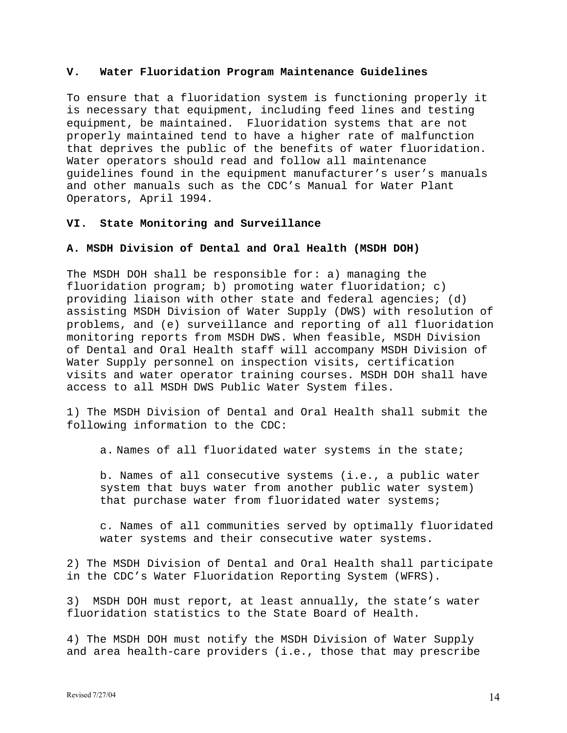#### **V. Water Fluoridation Program Maintenance Guidelines**

To ensure that a fluoridation system is functioning properly it is necessary that equipment, including feed lines and testing equipment, be maintained. Fluoridation systems that are not properly maintained tend to have a higher rate of malfunction that deprives the public of the benefits of water fluoridation. Water operators should read and follow all maintenance guidelines found in the equipment manufacturer's user's manuals and other manuals such as the CDC's Manual for Water Plant Operators, April 1994.

## **VI. State Monitoring and Surveillance**

#### **A. MSDH Division of Dental and Oral Health (MSDH DOH)**

The MSDH DOH shall be responsible for: a) managing the fluoridation program; b) promoting water fluoridation; c) providing liaison with other state and federal agencies; (d) assisting MSDH Division of Water Supply (DWS) with resolution of problems, and (e) surveillance and reporting of all fluoridation monitoring reports from MSDH DWS. When feasible, MSDH Division of Dental and Oral Health staff will accompany MSDH Division of Water Supply personnel on inspection visits, certification visits and water operator training courses. MSDH DOH shall have access to all MSDH DWS Public Water System files.

1) The MSDH Division of Dental and Oral Health shall submit the following information to the CDC:

a. Names of all fluoridated water systems in the state;

b. Names of all consecutive systems (i.e., a public water system that buys water from another public water system) that purchase water from fluoridated water systems;

c. Names of all communities served by optimally fluoridated water systems and their consecutive water systems.

2) The MSDH Division of Dental and Oral Health shall participate in the CDC's Water Fluoridation Reporting System (WFRS).

3) MSDH DOH must report, at least annually, the state's water fluoridation statistics to the State Board of Health.

4) The MSDH DOH must notify the MSDH Division of Water Supply and area health-care providers (i.e., those that may prescribe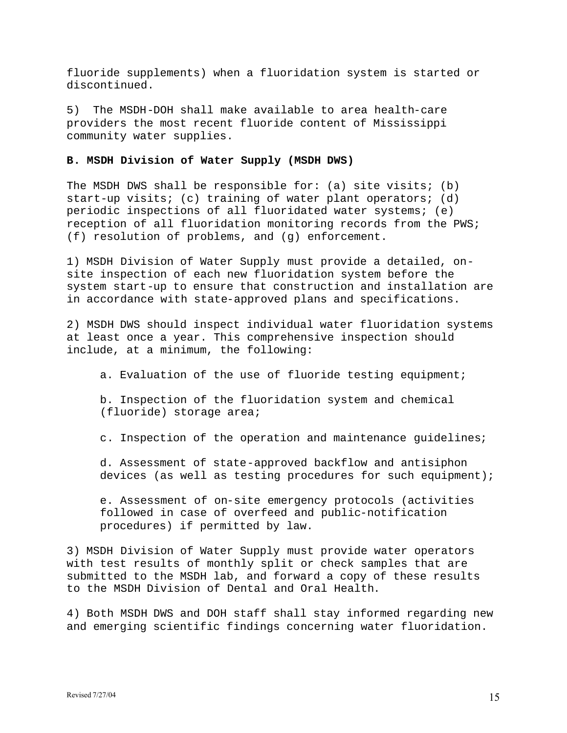fluoride supplements) when a fluoridation system is started or discontinued.

5) The MSDH-DOH shall make available to area health-care providers the most recent fluoride content of Mississippi community water supplies.

#### **B. MSDH Division of Water Supply (MSDH DWS)**

The MSDH DWS shall be responsible for: (a) site visits; (b) start-up visits; (c) training of water plant operators; (d) periodic inspections of all fluoridated water systems; (e) reception of all fluoridation monitoring records from the PWS; (f) resolution of problems, and (g) enforcement.

1) MSDH Division of Water Supply must provide a detailed, onsite inspection of each new fluoridation system before the system start-up to ensure that construction and installation are in accordance with state-approved plans and specifications.

2) MSDH DWS should inspect individual water fluoridation systems at least once a year. This comprehensive inspection should include, at a minimum, the following:

a. Evaluation of the use of fluoride testing equipment;

b. Inspection of the fluoridation system and chemical (fluoride) storage area;

c. Inspection of the operation and maintenance guidelines;

d. Assessment of state-approved backflow and antisiphon devices (as well as testing procedures for such equipment);

e. Assessment of on-site emergency protocols (activities followed in case of overfeed and public-notification procedures) if permitted by law.

3) MSDH Division of Water Supply must provide water operators with test results of monthly split or check samples that are submitted to the MSDH lab, and forward a copy of these results to the MSDH Division of Dental and Oral Health.

4) Both MSDH DWS and DOH staff shall stay informed regarding new and emerging scientific findings concerning water fluoridation.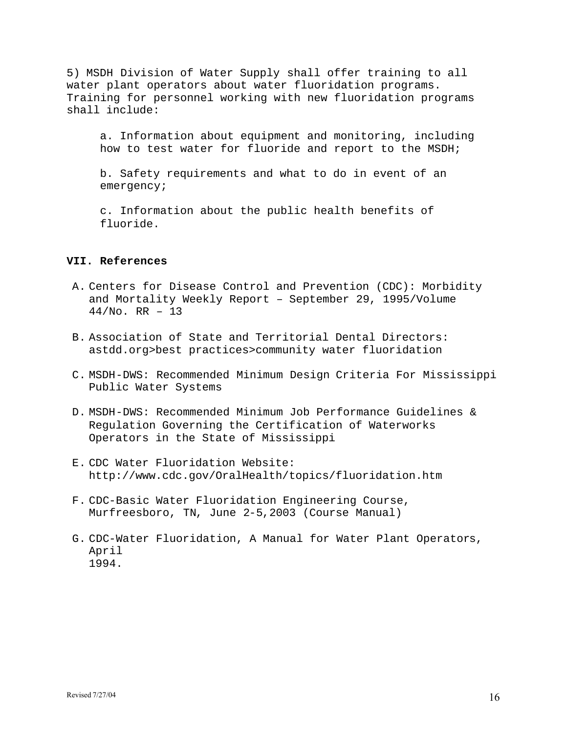5) MSDH Division of Water Supply shall offer training to all water plant operators about water fluoridation programs. Training for personnel working with new fluoridation programs shall include:

a. Information about equipment and monitoring, including how to test water for fluoride and report to the MSDH;

b. Safety requirements and what to do in event of an emergency;

c. Information about the public health benefits of fluoride.

## **VII. References**

- A. Centers for Disease Control and Prevention (CDC): Morbidity and Mortality Weekly Report – September 29, 1995/Volume 44/No. RR – 13
- B. Association of State and Territorial Dental Directors: astdd.org>best practices>community water fluoridation
- C. MSDH-DWS: Recommended Minimum Design Criteria For Mississippi Public Water Systems
- D. MSDH-DWS: Recommended Minimum Job Performance Guidelines & Regulation Governing the Certification of Waterworks Operators in the State of Mississippi
- E. CDC Water Fluoridation Website: http://www.cdc.gov/OralHealth/topics/fluoridation.htm
- F. CDC-Basic Water Fluoridation Engineering Course, Murfreesboro, TN, June 2-5,2003 (Course Manual)
- G. CDC-Water Fluoridation, A Manual for Water Plant Operators, April 1994.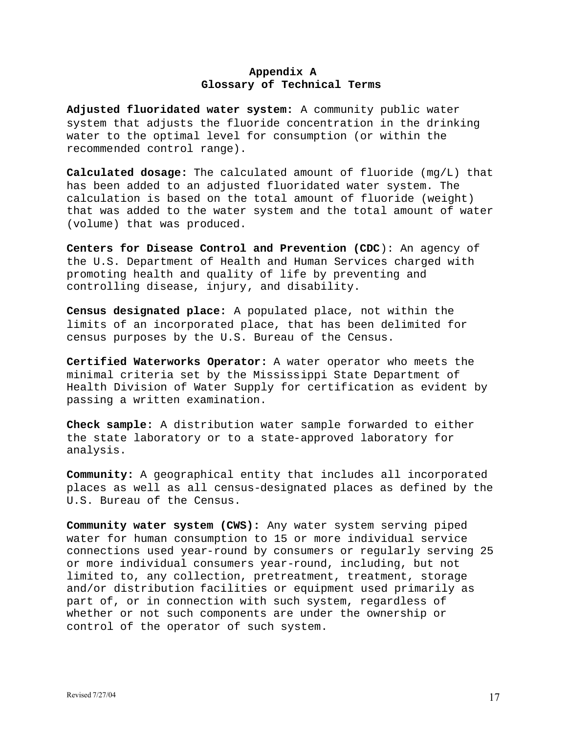## **Appendix A Glossary of Technical Terms**

**Adjusted fluoridated water system:** A community public water system that adjusts the fluoride concentration in the drinking water to the optimal level for consumption (or within the recommended control range).

**Calculated dosage:** The calculated amount of fluoride (mg/L) that has been added to an adjusted fluoridated water system. The calculation is based on the total amount of fluoride (weight) that was added to the water system and the total amount of water (volume) that was produced.

**Centers for Disease Control and Prevention (CDC**): An agency of the U.S. Department of Health and Human Services charged with promoting health and quality of life by preventing and controlling disease, injury, and disability.

**Census designated place:** A populated place, not within the limits of an incorporated place, that has been delimited for census purposes by the U.S. Bureau of the Census.

**Certified Waterworks Operator:** A water operator who meets the minimal criteria set by the Mississippi State Department of Health Division of Water Supply for certification as evident by passing a written examination.

**Check sample:** A distribution water sample forwarded to either the state laboratory or to a state-approved laboratory for analysis.

**Community:** A geographical entity that includes all incorporated places as well as all census-designated places as defined by the U.S. Bureau of the Census.

**Community water system (CWS):** Any water system serving piped water for human consumption to 15 or more individual service connections used year-round by consumers or regularly serving 25 or more individual consumers year-round, including, but not limited to, any collection, pretreatment, treatment, storage and/or distribution facilities or equipment used primarily as part of, or in connection with such system, regardless of whether or not such components are under the ownership or control of the operator of such system.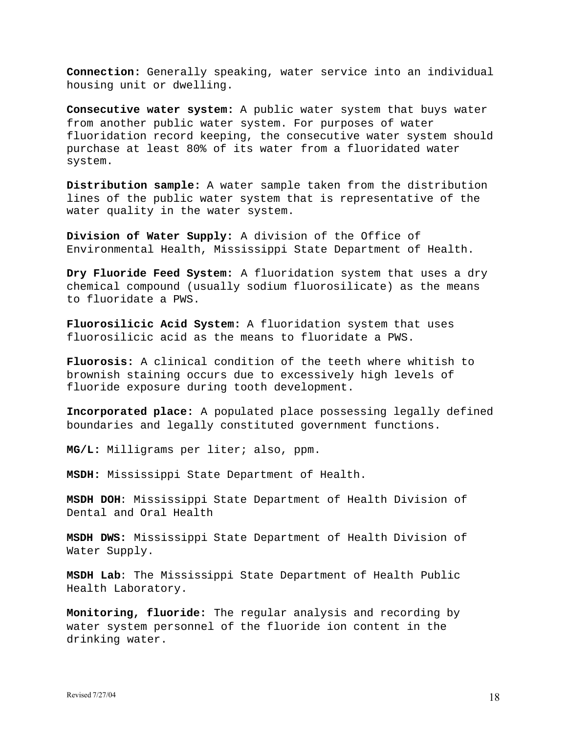**Connection:** Generally speaking, water service into an individual housing unit or dwelling.

**Consecutive water system:** A public water system that buys water from another public water system. For purposes of water fluoridation record keeping, the consecutive water system should purchase at least 80% of its water from a fluoridated water system.

**Distribution sample:** A water sample taken from the distribution lines of the public water system that is representative of the water quality in the water system.

**Division of Water Supply:** A division of the Office of Environmental Health, Mississippi State Department of Health.

**Dry Fluoride Feed System:** A fluoridation system that uses a dry chemical compound (usually sodium fluorosilicate) as the means to fluoridate a PWS.

**Fluorosilicic Acid System:** A fluoridation system that uses fluorosilicic acid as the means to fluoridate a PWS.

**Fluorosis:** A clinical condition of the teeth where whitish to brownish staining occurs due to excessively high levels of fluoride exposure during tooth development.

**Incorporated place:** A populated place possessing legally defined boundaries and legally constituted government functions.

**MG/L:** Milligrams per liter; also, ppm.

**MSDH:** Mississippi State Department of Health.

**MSDH DOH**: Mississippi State Department of Health Division of Dental and Oral Health

**MSDH DWS:** Mississippi State Department of Health Division of Water Supply.

**MSDH Lab**: The Mississippi State Department of Health Public Health Laboratory.

**Monitoring, fluoride:** The regular analysis and recording by water system personnel of the fluoride ion content in the drinking water.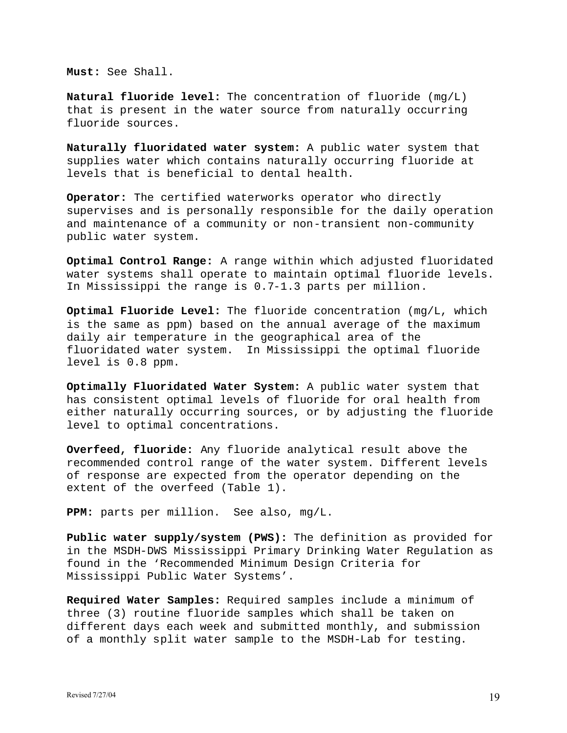**Must:** See Shall.

**Natural fluoride level:** The concentration of fluoride (mg/L) that is present in the water source from naturally occurring fluoride sources.

**Naturally fluoridated water system:** A public water system that supplies water which contains naturally occurring fluoride at levels that is beneficial to dental health.

**Operator:** The certified waterworks operator who directly supervises and is personally responsible for the daily operation and maintenance of a community or non-transient non-community public water system.

**Optimal Control Range:** A range within which adjusted fluoridated water systems shall operate to maintain optimal fluoride levels. In Mississippi the range is 0.7-1.3 parts per million.

**Optimal Fluoride Level:** The fluoride concentration (mg/L, which is the same as ppm) based on the annual average of the maximum daily air temperature in the geographical area of the fluoridated water system. In Mississippi the optimal fluoride level is 0.8 ppm.

**Optimally Fluoridated Water System:** A public water system that has consistent optimal levels of fluoride for oral health from either naturally occurring sources, or by adjusting the fluoride level to optimal concentrations.

**Overfeed, fluoride:** Any fluoride analytical result above the recommended control range of the water system. Different levels of response are expected from the operator depending on the extent of the overfeed (Table 1).

**PPM:** parts per million. See also, mg/L.

**Public water supply/system (PWS):** The definition as provided for in the MSDH-DWS Mississippi Primary Drinking Water Regulation as found in the 'Recommended Minimum Design Criteria for Mississippi Public Water Systems'.

**Required Water Samples:** Required samples include a minimum of three (3) routine fluoride samples which shall be taken on different days each week and submitted monthly, and submission of a monthly split water sample to the MSDH-Lab for testing.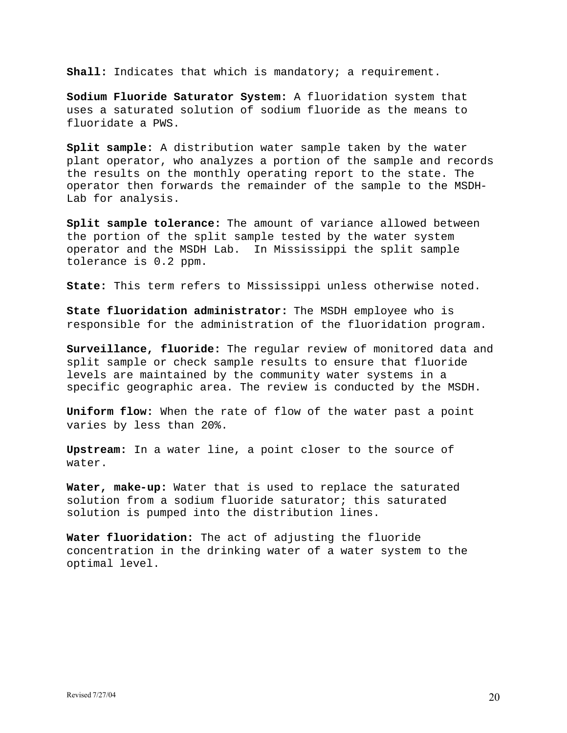**Shall:** Indicates that which is mandatory; a requirement.

**Sodium Fluoride Saturator System:** A fluoridation system that uses a saturated solution of sodium fluoride as the means to fluoridate a PWS.

**Split sample:** A distribution water sample taken by the water plant operator, who analyzes a portion of the sample and records the results on the monthly operating report to the state. The operator then forwards the remainder of the sample to the MSDH-Lab for analysis.

**Split sample tolerance:** The amount of variance allowed between the portion of the split sample tested by the water system operator and the MSDH Lab. In Mississippi the split sample tolerance is 0.2 ppm.

**State:** This term refers to Mississippi unless otherwise noted.

**State fluoridation administrator:** The MSDH employee who is responsible for the administration of the fluoridation program.

**Surveillance, fluoride:** The regular review of monitored data and split sample or check sample results to ensure that fluoride levels are maintained by the community water systems in a specific geographic area. The review is conducted by the MSDH.

**Uniform flow:** When the rate of flow of the water past a point varies by less than 20%.

**Upstream:** In a water line, a point closer to the source of water.

**Water, make-up:** Water that is used to replace the saturated solution from a sodium fluoride saturator; this saturated solution is pumped into the distribution lines.

**Water fluoridation:** The act of adjusting the fluoride concentration in the drinking water of a water system to the optimal level.